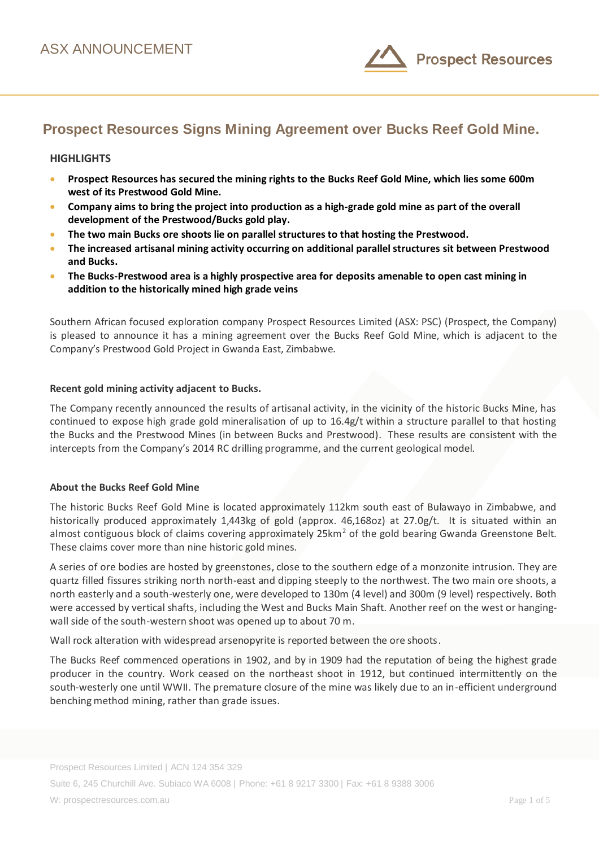

# **Prospect Resources Signs Mining Agreement over Bucks Reef Gold Mine.**

#### **HIGHLIGHTS**

- **Prospect Resources has secured the mining rights to the Bucks Reef Gold Mine, which lies some 600m west of its Prestwood Gold Mine.**
- **Company aims to bring the project into production as a high-grade gold mine as part of the overall development of the Prestwood/Bucks gold play.**
- **•** The two main Bucks ore shoots lie on parallel structures to that hosting the Prestwood.
- **The increased artisanal mining activity occurring on additional parallel structures sit between Prestwood and Bucks.**
- **The Bucks-Prestwood area is a highly prospective area for deposits amenable to open cast mining in addition to the historically mined high grade veins**

Southern African focused exploration company Prospect Resources Limited (ASX: PSC) (Prospect, the Company) is pleased to announce it has a mining agreement over the Bucks Reef Gold Mine, which is adjacent to the Company's Prestwood Gold Project in Gwanda East, Zimbabwe.

#### **Recent gold mining activity adjacent to Bucks.**

The Company recently announced the results of artisanal activity, in the vicinity of the historic Bucks Mine, has continued to expose high grade gold mineralisation of up to 16.4g/t within a structure parallel to that hosting the Bucks and the Prestwood Mines (in between Bucks and Prestwood). These results are consistent with the intercepts from the Company's 2014 RC drilling programme, and the current geological model.

#### **About the Bucks Reef Gold Mine**

The historic Bucks Reef Gold Mine is located approximately 112km south east of Bulawayo in Zimbabwe, and historically produced approximately 1,443kg of gold (approx. 46,168oz) at 27.0g/t. It is situated within an almost contiguous block of claims covering approximately 25km<sup>2</sup> of the gold bearing Gwanda Greenstone Belt. These claims cover more than nine historic gold mines.

A series of ore bodies are hosted by greenstones, close to the southern edge of a monzonite intrusion. They are quartz filled fissures striking north north-east and dipping steeply to the northwest. The two main ore shoots, a north easterly and a south-westerly one, were developed to 130m (4 level) and 300m (9 level) respectively. Both were accessed by vertical shafts, including the West and Bucks Main Shaft. Another reef on the west or hangingwall side of the south-western shoot was opened up to about 70 m.

Wall rock alteration with widespread arsenopyrite is reported between the ore shoots.

The Bucks Reef commenced operations in 1902, and by in 1909 had the reputation of being the highest grade producer in the country. Work ceased on the northeast shoot in 1912, but continued intermittently on the south-westerly one until WWII. The premature closure of the mine was likely due to an in-efficient underground benching method mining, rather than grade issues.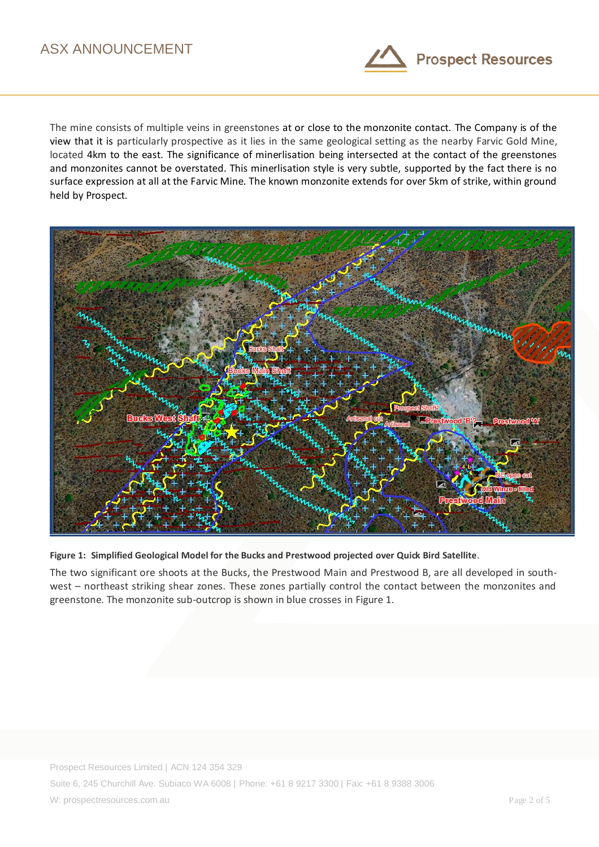

The mine consists of multiple veins in greenstones at or close to the monzonite contact. The Company is of the view that it is particularly prospective as it lies in the same geological setting as the nearby Farvic Gold Mine, located 4km to the east. The significance of minerlisation being intersected at the contact of the greenstones and monzonites cannot be overstated. This minerlisation style is very subtle, supported by the fact there is no surface expression at all at the Farvic Mine. The known monzonite extends for over 5km of strike, within ground held by Prospect.



**Figure 1: Simplified Geological Model for the Bucks and Prestwood projected over Quick Bird Satellite**.

The two significant ore shoots at the Bucks, the Prestwood Main and Prestwood B, are all developed in southwest – northeast striking shear zones. These zones partially control the contact between the monzonites and greenstone. The monzonite sub-outcrop is shown in blue crosses in Figure 1.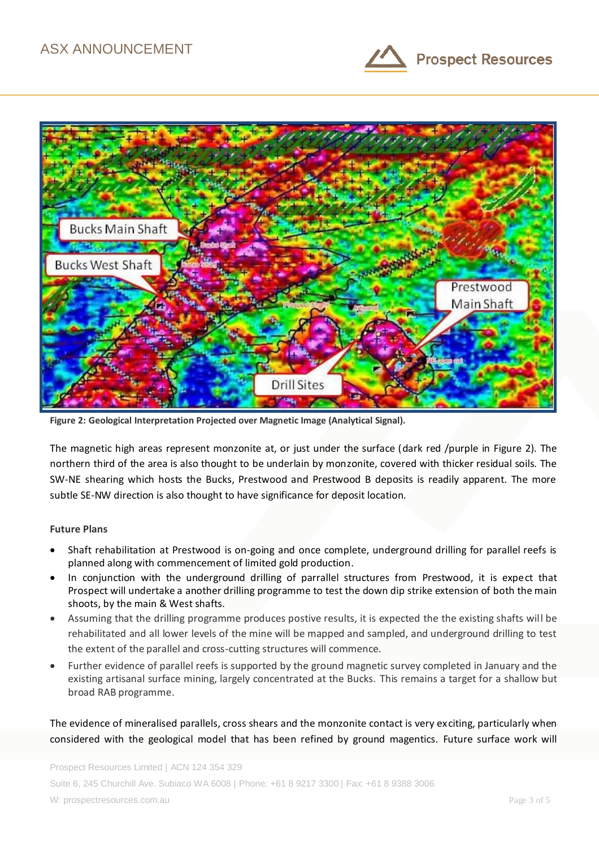



**Figure 2: Geological Interpretation Projected over Magnetic Image (Analytical Signal).** 

The magnetic high areas represent monzonite at, or just under the surface (dark red /purple in Figure 2). The northern third of the area is also thought to be underlain by monzonite, covered with thicker residual soils. The SW-NE shearing which hosts the Bucks, Prestwood and Prestwood B deposits is readily apparent. The more subtle SE-NW direction is also thought to have significance for deposit location.

### **Future Plans**

- Shaft rehabilitation at Prestwood is on-going and once complete, underground drilling for parallel reefs is planned along with commencement of limited gold production.
- In conjunction with the underground drilling of parrallel structures from Prestwood, it is expect that Prospect will undertake a another drilling programme to test the down dip strike extension of both the main shoots, by the main & West shafts.
- Assuming that the drilling programme produces postive results, it is expected the the existing shafts will be rehabilitated and all lower levels of the mine will be mapped and sampled, and underground drilling to test the extent of the parallel and cross-cutting structures will commence.
- Further evidence of parallel reefs is supported by the ground magnetic survey completed in January and the existing artisanal surface mining, largely concentrated at the Bucks. This remains a target for a shallow but broad RAB programme.

The evidence of mineralised parallels, cross shears and the monzonite contact is very exciting, particularly when considered with the geological model that has been refined by ground magentics. Future surface work will

Prospect Resources Limited | ACN 124 354 329 Suite 6, 245 Churchill Ave. Subiaco WA 6008 | Phone: +61 8 9217 3300 | Fax: +61 8 9388 3006 W: prospectresources.com.au Page 3 of 5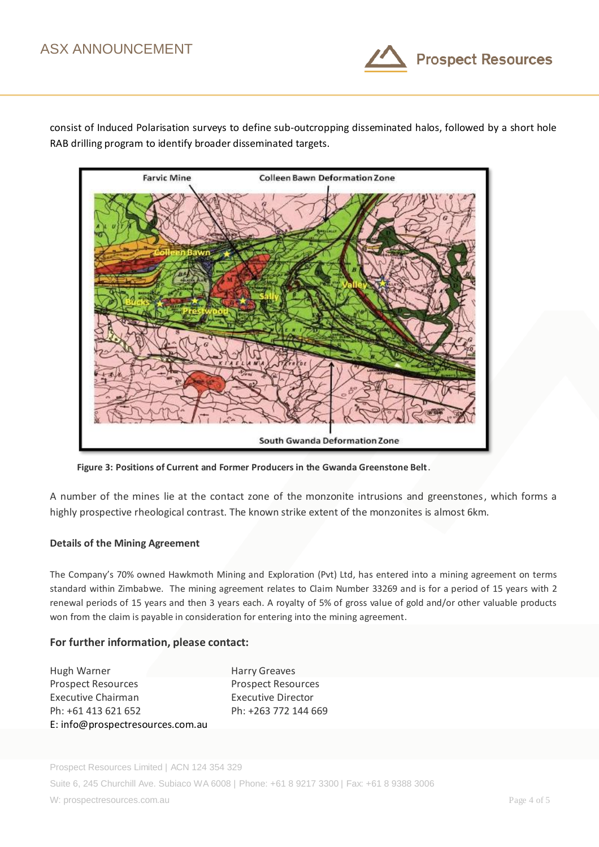

consist of Induced Polarisation surveys to define sub-outcropping disseminated halos, followed by a short hole RAB drilling program to identify broader disseminated targets.



**Figure 3: Positions of Current and Former Producers in the Gwanda Greenstone Belt**.

A number of the mines lie at the contact zone of the monzonite intrusions and greenstones, which forms a highly prospective rheological contrast. The known strike extent of the monzonites is almost 6km.

### **Details of the Mining Agreement**

The Company's 70% owned Hawkmoth Mining and Exploration (Pvt) Ltd, has entered into a mining agreement on terms standard within Zimbabwe. The mining agreement relates to Claim Number 33269 and is for a period of 15 years with 2 renewal periods of 15 years and then 3 years each. A royalty of 5% of gross value of gold and/or other valuable products won from the claim is payable in consideration for entering into the mining agreement.

## **For further information, please contact:**

Hugh Warner **Harry Greaves** Prospect Resources Prospect Resources Executive Chairman Executive Director Ph: +61 413 621 652 Ph: +263 772 144 669 E: info@prospectresources.com.au